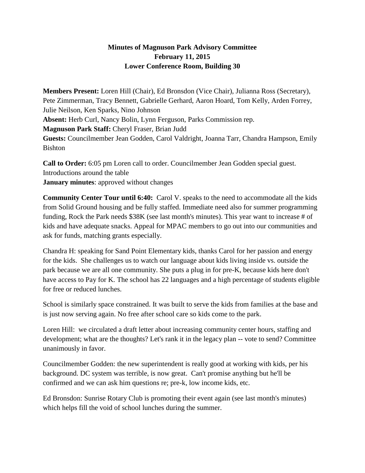## **Minutes of Magnuson Park Advisory Committee February 11, 2015 Lower Conference Room, Building 30**

**Members Present:** Loren Hill (Chair), Ed Bronsdon (Vice Chair), Julianna Ross (Secretary), Pete Zimmerman, Tracy Bennett, Gabrielle Gerhard, Aaron Hoard, Tom Kelly, Arden Forrey, Julie Neilson, Ken Sparks, Nino Johnson **Absent:** Herb Curl, Nancy Bolin, Lynn Ferguson, Parks Commission rep. **Magnuson Park Staff:** Cheryl Fraser, Brian Judd **Guests:** Councilmember Jean Godden, Carol Valdright, Joanna Tarr, Chandra Hampson, Emily Bishton

**Call to Order:** 6:05 pm Loren call to order. Councilmember Jean Godden special guest. Introductions around the table **January minutes**: approved without changes

**Community Center Tour until 6:40:** Carol V. speaks to the need to accommodate all the kids from Solid Ground housing and be fully staffed. Immediate need also for summer programming funding, Rock the Park needs \$38K (see last month's minutes). This year want to increase # of kids and have adequate snacks. Appeal for MPAC members to go out into our communities and ask for funds, matching grants especially.

Chandra H: speaking for Sand Point Elementary kids, thanks Carol for her passion and energy for the kids. She challenges us to watch our language about kids living inside vs. outside the park because we are all one community. She puts a plug in for pre-K, because kids here don't have access to Pay for K. The school has 22 languages and a high percentage of students eligible for free or reduced lunches.

School is similarly space constrained. It was built to serve the kids from families at the base and is just now serving again. No free after school care so kids come to the park.

Loren Hill: we circulated a draft letter about increasing community center hours, staffing and development; what are the thoughts? Let's rank it in the legacy plan -- vote to send? Committee unanimously in favor.

Councilmember Godden: the new superintendent is really good at working with kids, per his background. DC system was terrible, is now great. Can't promise anything but he'll be confirmed and we can ask him questions re; pre-k, low income kids, etc.

Ed Bronsdon: Sunrise Rotary Club is promoting their event again (see last month's minutes) which helps fill the void of school lunches during the summer.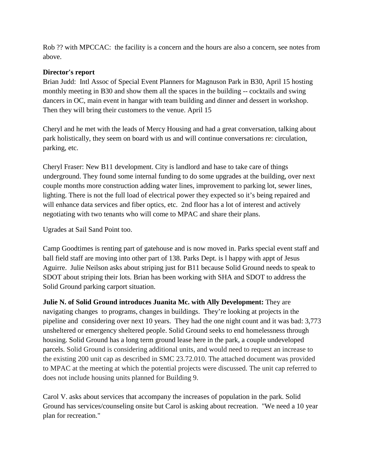Rob ?? with MPCCAC: the facility is a concern and the hours are also a concern, see notes from above.

## **Director's report**

Brian Judd: Intl Assoc of Special Event Planners for Magnuson Park in B30, April 15 hosting monthly meeting in B30 and show them all the spaces in the building -- cocktails and swing dancers in OC, main event in hangar with team building and dinner and dessert in workshop. Then they will bring their customers to the venue. April 15

Cheryl and he met with the leads of Mercy Housing and had a great conversation, talking about park holistically, they seem on board with us and will continue conversations re: circulation, parking, etc.

Cheryl Fraser: New B11 development. City is landlord and hase to take care of things underground. They found some internal funding to do some upgrades at the building, over next couple months more construction adding water lines, improvement to parking lot, sewer lines, lighting. There is not the full load of electrical power they expected so it's being repaired and will enhance data services and fiber optics, etc. 2nd floor has a lot of interest and actively negotiating with two tenants who will come to MPAC and share their plans.

Ugrades at Sail Sand Point too.

Camp Goodtimes is renting part of gatehouse and is now moved in. Parks special event staff and ball field staff are moving into other part of 138. Parks Dept. is l happy with appt of Jesus Aguirre. Julie Neilson asks about striping just for B11 because Solid Ground needs to speak to SDOT about striping their lots. Brian has been working with SHA and SDOT to address the Solid Ground parking carport situation.

**Julie N. of Solid Ground introduces Juanita Mc. with Ally Development:** They are navigating changes to programs, changes in buildings. They're looking at projects in the pipeline and considering over next 10 years. They had the one night count and it was bad: 3,773 unsheltered or emergency sheltered people. Solid Ground seeks to end homelessness through housing. Solid Ground has a long term ground lease here in the park, a couple undeveloped parcels. Solid Ground is considering additional units, and would need to request an increase to the existing 200 unit cap as described in SMC 23.72.010. The attached document was provided to MPAC at the meeting at which the potential projects were discussed. The unit cap referred to does not include housing units planned for Building 9.

Carol V. asks about services that accompany the increases of population in the park. Solid Ground has services/counseling onsite but Carol is asking about recreation. "We need a 10 year plan for recreation."